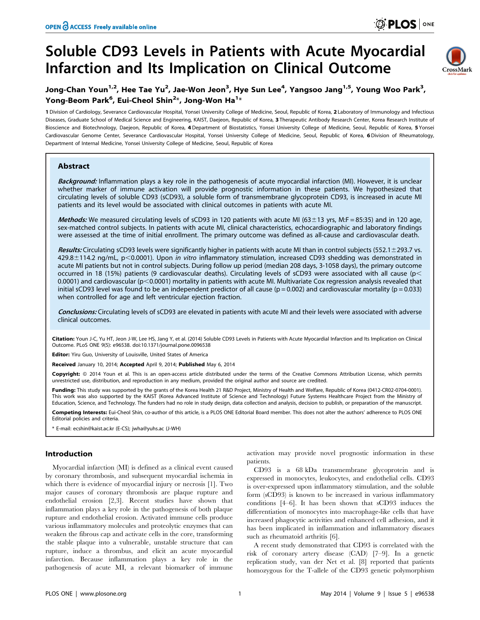# Soluble CD93 Levels in Patients with Acute Myocardial Infarction and Its Implication on Clinical Outcome



# Jong-Chan Youn<sup>1,2</sup>, Hee Tae Yu<sup>2</sup>, Jae-Won Jeon<sup>3</sup>, Hye Sun Lee<sup>4</sup>, Yangsoo Jang<sup>1,5</sup>, Young Woo Park<sup>3</sup>, Yong-Beom Park<sup>6</sup>, Eui-Cheol Shin<sup>2</sup>\*, Jong-Won Ha<sup>1</sup>\*

1 Division of Cardiology, Severance Cardiovascular Hospital, Yonsei University College of Medicine, Seoul, Republic of Korea, 2 Laboratory of Immunology and Infectious Diseases, Graduate School of Medical Science and Engineering, KAIST, Daejeon, Republic of Korea, 3 Therapeutic Antibody Research Center, Korea Research Institute of Bioscience and Biotechnology, Daejeon, Republic of Korea, 4 Department of Biostatistics, Yonsei University College of Medicine, Seoul, Republic of Korea, 5 Yonsei Cardiovascular Genome Center, Severance Cardiovascular Hospital, Yonsei University College of Medicine, Seoul, Republic of Korea, 6 Division of Rheumatology, Department of Internal Medicine, Yonsei University College of Medicine, Seoul, Republic of Korea

# **Abstract**

Background: Inflammation plays a key role in the pathogenesis of acute myocardial infarction (MI). However, it is unclear whether marker of immune activation will provide prognostic information in these patients. We hypothesized that circulating levels of soluble CD93 (sCD93), a soluble form of transmembrane glycoprotein CD93, is increased in acute MI patients and its level would be associated with clinical outcomes in patients with acute MI.

Methods: We measured circulating levels of sCD93 in 120 patients with acute MI (63 $\pm$ 13 yrs, M:F = 85:35) and in 120 age, sex-matched control subjects. In patients with acute MI, clinical characteristics, echocardiographic and laboratory findings were assessed at the time of initial enrollment. The primary outcome was defined as all-cause and cardiovascular death.

Results: Circulating sCD93 levels were significantly higher in patients with acute MI than in control subjects (552.1±293.7 vs.  $429.8 \pm 114.2$  ng/mL, p<0.0001). Upon in vitro inflammatory stimulation, increased CD93 shedding was demonstrated in acute MI patients but not in control subjects. During follow up period (median 208 days, 3-1058 days), the primary outcome occurred in 18 (15%) patients (9 cardiovascular deaths). Circulating levels of sCD93 were associated with all cause (p $<$ 0.0001) and cardiovascular (p<0.0001) mortality in patients with acute MI. Multivariate Cox regression analysis revealed that initial sCD93 level was found to be an independent predictor of all cause ( $p = 0.002$ ) and cardiovascular mortality ( $p = 0.033$ ) when controlled for age and left ventricular ejection fraction.

Conclusions: Circulating levels of sCD93 are elevated in patients with acute MI and their levels were associated with adverse clinical outcomes.

Citation: Youn J-C, Yu HT, Jeon J-W, Lee HS, Jang Y, et al. (2014) Soluble CD93 Levels in Patients with Acute Myocardial Infarction and Its Implication on Clinical Outcome. PLoS ONE 9(5): e96538. doi:10.1371/journal.pone.0096538

Editor: Yiru Guo, University of Louisville, United States of America

Received January 10, 2014; Accepted April 9, 2014; Published May 6, 2014

Copyright: © 2014 Youn et al. This is an open-access article distributed under the terms of the [Creative Commons Attribution License,](http://creativecommons.org/licenses/by/4.0/) which permits unrestricted use, distribution, and reproduction in any medium, provided the original author and source are credited.

Funding: This study was supported by the grants of the Korea Health 21 R&D Project, Ministry of Health and Welfare, Republic of Korea (0412-CR02-0704-0001). This work was also supported by the KAIST (Korea Advanced Institute of Science and Technology) Future Systems Healthcare Project from the Ministry of Education, Science, and Technology. The funders had no role in study design, data collection and analysis, decision to publish, or preparation of the manuscript.

Competing Interests: Eui-Cheol Shin, co-author of this article, is a PLOS ONE Editorial Board member. This does not alter the authors' adherence to PLOS ONE Editorial policies and criteria.

\* E-mail: ecshin@kaist.ac.kr (E-CS); jwha@yuhs.ac (J-WH)

#### Introduction

Myocardial infarction (MI) is defined as a clinical event caused by coronary thrombosis, and subsequent myocardial ischemia in which there is evidence of myocardial injury or necrosis [1]. Two major causes of coronary thrombosis are plaque rupture and endothelial erosion [2,3]. Recent studies have shown that inflammation plays a key role in the pathogenesis of both plaque rupture and endothelial erosion. Activated immune cells produce various inflammatory molecules and proteolytic enzymes that can weaken the fibrous cap and activate cells in the core, transforming the stable plaque into a vulnerable, unstable structure that can rupture, induce a thrombus, and elicit an acute myocardial infarction. Because inflammation plays a key role in the pathogenesis of acute MI, a relevant biomarker of immune

activation may provide novel prognostic information in these patients.

CD93 is a 68 kDa transmembrane glycoprotein and is expressed in monocytes, leukocytes, and endothelial cells. CD93 is over-expressed upon inflammatory stimulation, and the soluble form (sCD93) is known to be increased in various inflammatory conditions [4–6]. It has been shown that sCD93 induces the differentiation of monocytes into macrophage-like cells that have increased phagocytic activities and enhanced cell adhesion, and it has been implicated in inflammation and inflammatory diseases such as rheumatoid arthritis [6].

A recent study demonstrated that CD93 is correlated with the risk of coronary artery disease (CAD) [7–9]. In a genetic replication study, van der Net et al. [8] reported that patients homozygous for the T-allele of the CD93 genetic polymorphism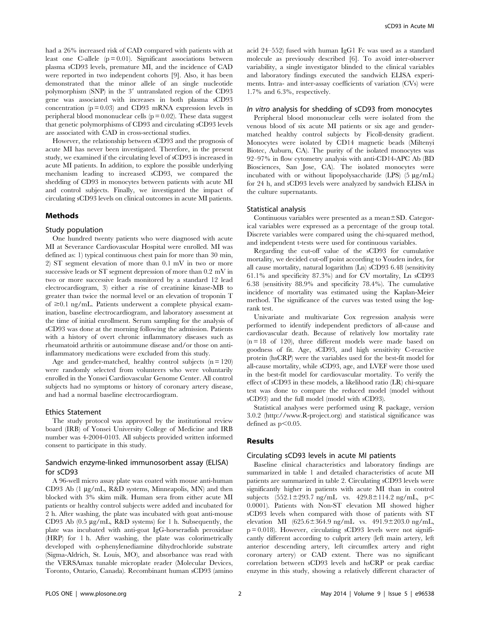had a 26% increased risk of CAD compared with patients with at least one C-allele  $(p = 0.01)$ . Significant associations between plasma sCD93 levels, premature MI, and the incidence of CAD were reported in two independent cohorts [9]. Also, it has been demonstrated that the minor allele of an single nucleotide polymorphism (SNP) in the 3' untranslated region of the CD93 gene was associated with increases in both plasma sCD93 concentration  $(p = 0.03)$  and CD93 mRNA expression levels in peripheral blood mononuclear cells ( $p = 0.02$ ). These data suggest that genetic polymorphisms of CD93 and circulating sCD93 levels are associated with CAD in cross-sectional studies.

However, the relationship between sCD93 and the prognosis of acute MI has never been investigated. Therefore, in the present study, we examined if the circulating level of sCD93 is increased in acute MI patients. In addition, to explore the possible underlying mechanism leading to increased sCD93, we compared the shedding of CD93 in monocytes between patients with acute MI and control subjects. Finally, we investigated the impact of circulating sCD93 levels on clinical outcomes in acute MI patients.

#### Methods

#### Study population

One hundred twenty patients who were diagnosed with acute MI at Severance Cardiovascular Hospital were enrolled. MI was defined as: 1) typical continuous chest pain for more than 30 min, 2) ST segment elevation of more than 0.1 mV in two or more successive leads or ST segment depression of more than 0.2 mV in two or more successive leads monitored by a standard 12 lead electrocardiogram, 3) either a rise of creatinine kinase-MB to greater than twice the normal level or an elevation of troponin T of  $\geq$ 0.1 ng/mL. Patients underwent a complete physical examination, baseline electrocardiogram, and laboratory assessment at the time of initial enrollment. Serum sampling for the analysis of sCD93 was done at the morning following the admission. Patients with a history of overt chronic inflammatory diseases such as rheumatoid arthritis or autoimmune disease and/or those on antiinflammatory medications were excluded from this study.

Age and gender-matched, healthy control subjects  $(n = 120)$ were randomly selected from volunteers who were voluntarily enrolled in the Yonsei Cardiovascular Genome Center. All control subjects had no symptoms or history of coronary artery disease, and had a normal baseline electrocardiogram.

#### Ethics Statement

The study protocol was approved by the institutional review board (IRB) of Yonsei University College of Medicine and IRB number was 4-2004-0103. All subjects provided written informed consent to participate in this study.

# Sandwich enzyme-linked immunosorbent assay (ELISA) for sCD93

A 96-well micro assay plate was coated with mouse anti-human CD93 Ab (1 µg/mL, R&D systems, Minneapolis, MN) and then blocked with 3% skim milk. Human sera from either acute MI patients or healthy control subjects were added and incubated for 2 h. After washing, the plate was incubated with goat anti-mouse CD93 Ab  $(0.5 \mu g/mL, R&D$  systems) for 1 h. Subsequently, the plate was incubated with anti-goat IgG-horseradish peroxidase (HRP) for 1 h. After washing, the plate was colorimetrically developed with o-phenylenediamine dihydrochloride substrate (Sigma-Aldrich, St. Louis, MO), and absorbance was read with the VERSAmax tunable microplate reader (Molecular Devices, Toronto, Ontario, Canada). Recombinant human sCD93 (amino acid 24–552) fused with human IgG1 Fc was used as a standard molecule as previously described [6]. To avoid inter-observer variability, a single investigator blinded to the clinical variables and laboratory findings executed the sandwich ELISA experiments. Intra- and inter-assay coefficients of variation (CVs) were 1.7% and 6.3%, respectively.

#### In vitro analysis for shedding of sCD93 from monocytes

Peripheral blood mononuclear cells were isolated from the venous blood of six acute MI patients or six age and gendermatched healthy control subjects by Ficoll-density gradient. Monocytes were isolated by CD14 magnetic beads (Miltenyi Biotec, Auburn, CA). The purity of the isolated monocytes was 92–97% in flow cytometry analysis with anti-CD14-APC Ab (BD Biosciences, San Jose, CA). The isolated monocytes were incubated with or without lipopolysaccharide (LPS)  $(5 \mu g/mL)$ for 24 h, and sCD93 levels were analyzed by sandwich ELISA in the culture supernatants.

#### Statistical analysis

Continuous variables were presented as a mean $\pm$ SD. Categorical variables were expressed as a percentage of the group total. Discrete variables were compared using the chi-squared method, and independent t-tests were used for continuous variables.

Regarding the cut-off value of the sCD93 for cumulative mortality, we decided cut-off point according to Youden index, for all cause mortality, natural logarithm (Ln) sCD93 6.48 (sensitivity 61.1% and specificity 87.3%) and for CV mortality, Ln sCD93 6.38 (sensitivity 88.9% and specificity 78.4%). The cumulative incidence of mortality was estimated using the Kaplan-Meier method. The significance of the curves was tested using the logrank test.

Univariate and multivariate Cox regression analysis were performed to identify independent predictors of all-cause and cardiovascular death. Because of relatively low mortality rate (n = 18 of 120), three different models were made based on goodness of fit. Age, sCD93, and high sensitivity C-reactive protein (hsCRP) were the variables used for the best-fit model for all-cause mortality, while sCD93, age, and LVEF were those used in the best-fit model for cardiovascular mortality. To verify the effect of sCD93 in these models, a likelihood ratio (LR) chi-square test was done to compare the reduced model (model without sCD93) and the full model (model with sCD93).

Statistical analyses were performed using R package, version 3.0.2 [\(http://www.R-project.org](http://www.R-project.org)) and statistical significance was defined as  $p<0.05$ .

#### Results

#### Circulating sCD93 levels in acute MI patients

Baseline clinical characteristics and laboratory findings are summarized in table 1 and detailed characteristics of acute MI patients are summarized in table 2. Circulating sCD93 levels were significantly higher in patients with acute MI than in control subjects  $(552.1 \pm 293.7 \text{ ng/mL}$  vs.  $429.8 \pm 114.2 \text{ ng/mL}$ , p 0.0001). Patients with Non-ST elevation MI showed higher sCD93 levels when compared with those of patients with ST elevation MI  $(625.6 \pm 364.9 \text{ ng/mL}$  vs.  $491.9 \pm 203.0 \text{ ng/mL}$ ,  $p = 0.018$ ). However, circulating sCD93 levels were not significantly different according to culprit artery (left main artery, left anterior descending artery, left circumflex artery and right coronary artery) or CAD extent. There was no significant correlation between sCD93 levels and hsCRP or peak cardiac enzyme in this study, showing a relatively different character of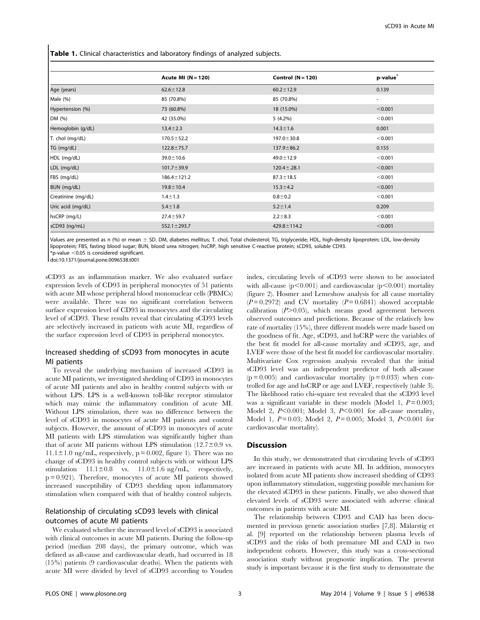Table 1. Clinical characteristics and laboratory findings of analyzed subjects.

|                    | Acute MI $(N = 120)$ | Control $(N = 120)$ | p-value <sup>®</sup>     |
|--------------------|----------------------|---------------------|--------------------------|
| Age (years)        | $62.6 \pm 12.8$      | $60.2 \pm 12.9$     | 0.139                    |
| Male (%)           | 85 (70.8%)           | 85 (70.8%)          | $\overline{\phantom{a}}$ |
| Hypertension (%)   | 73 (60.8%)           | 18 (15.0%)          | < 0.001                  |
| DM (%)             | 42 (35.0%)           | $5(4.2\%)$          | < 0.001                  |
| Hemoglobin (g/dL)  | $13.4 \pm 2.3$       | $14.3 \pm 1.6$      | 0.001                    |
| T. chol (mg/dL)    | $170.5 \pm 52.2$     | $197.0 \pm 30.8$    | < 0.001                  |
| TG (mg/dL)         | $122.8 \pm 75.7$     | $137.9 \pm 86.2$    | 0.155                    |
| HDL (mg/dL)        | $39.0 \pm 10.6$      | $49.0 \pm 12.9$     | < 0.001                  |
| LDL (mg/dL)        | $101.7 \pm 39.9$     | $120.4 \pm .28.1$   | < 0.001                  |
| FBS (mg/dL)        | $186.4 \pm 121.2$    | $87.3 \pm 18.5$     | < 0.001                  |
| BUN (mg/dL)        | $19.8 \pm 10.4$      | $15.3 \pm 4.2$      | < 0.001                  |
| Creatinine (mg/dL) | $1.4 \pm 1.3$        | $0.8 + 0.2$         | < 0.001                  |
| Uric acid (mg/dL)  | $5.4 \pm 1.8$        | $5.2 \pm 1.4$       | 0.209                    |
| hsCRP (mg/L)       | $27.4 \pm 59.7$      | $2.2 + 8.3$         | < 0.001                  |
| sCD93 (ng/mL)      | $552.1 \pm 293.7$    | $429.8 \pm 114.2$   | < 0.001                  |

Values are presented as n (%) or mean ± SD. DM, diabetes mellitus; T. chol, Total cholesterol; TG, triglyceride; HDL, high-density lipoprotein; LDL, low-density lipoprotein; FBS, fasting blood sugar; BUN, blood urea nitrogen; hsCRP, high sensitive C-reactive protein; sCD93, soluble CD93.  $*$ p-value  $<$ 0.05 is considered significant.

doi:10.1371/journal.pone.0096538.t001

sCD93 as an inflammation marker. We also evaluated surface expression levels of CD93 in peripheral monocytes of 51 patients with acute MI whose peripheral blood mononuclear cells (PBMCs) were available. There was no significant correlation between surface expression level of CD93 in monocytes and the circulating level of sCD93. These results reveal that circulating sCD93 levels are selectively increased in patients with acute MI, regardless of the surface expression level of CD93 in peripheral monocytes.

# Increased shedding of sCD93 from monocytes in acute MI patients

To reveal the underlying mechanism of increased sCD93 in acute MI patients, we investigated shedding of CD93 in monocytes of acute MI patients and also in healthy control subjects with or without LPS. LPS is a well-known toll-like receptor stimulator which may mimic the inflammatory condition of acute MI. Without LPS stimulation, there was no difference between the level of sCD93 in monocytes of acute MI patients and control subjects. However, the amount of sCD93 in monocytes of acute MI patients with LPS stimulation was significantly higher than that of acute MI patients without LPS stimulation  $(12.7\pm0.9 \text{ vs.}$  $11.1 \pm 1.0$  ng/mL, respectively, p = 0.002, figure 1). There was no change of sCD93 in healthy control subjects with or without LPS stimulation  $11.1 \pm 0.8$  vs.  $11.0 \pm 1.6$  ng/mL, respectively, p = 0.921). Therefore, monocytes of acute MI patients showed increased susceptibility of CD93 shedding upon inflammatory stimulation when compared with that of healthy control subjects.

# Relationship of circulating sCD93 levels with clinical outcomes of acute MI patients

We evaluated whether the increased level of sCD93 is associated with clinical outcomes in acute MI patients. During the follow-up period (median 208 days), the primary outcome, which was defined as all-cause and cardiovascular death, had occurred in 18 (15%) patients (9 cardiovascular deaths). When the patients with acute MI were divided by level of sCD93 according to Youden index, circulating levels of sCD93 were shown to be associated with all-cause ( $p<0.001$ ) and cardiovascular ( $p<0.001$ ) mortality (figure 2). Hosmer and Lemeshow analysis for all cause mortality  $(P=0.2972)$  and CV mortality  $(P=0.6841)$  showed acceptable calibration  $(P>0.05)$ , which means good agreement between observed outcomes and predictions. Because of the relatively low rate of mortality (15%), three different models were made based on the goodness of fit. Age, sCD93, and hsCRP were the variables of the best fit model for all-cause mortality and sCD93, age, and LVEF were those of the best fit model for cardiovascular mortality. Multivariate Cox regression analysis revealed that the initial sCD93 level was an independent predictor of both all-cause  $(p=0.005)$  and cardiovascular mortality  $(p=0.033)$  when controlled for age and hsCRP or age and LVEF, respectively (table 3). The likelihood ratio chi-square test revealed that the sCD93 level was a significant variable in these models (Model 1,  $P = 0.003$ ; Model 2,  $P<0.001$ ; Model 3,  $P<0.001$  for all-cause mortality, Model 1,  $P = 0.03$ ; Model 2,  $P = 0.005$ ; Model 3,  $P \le 0.001$  for cardiovascular mortality).

#### **Discussion**

In this study, we demonstrated that circulating levels of sCD93 are increased in patients with acute MI. In addition, monocytes isolated from acute MI patients show increased shedding of CD93 upon inflammatory stimulation, suggesting possible mechanism for the elevated sCD93 in these patients. Finally, we also showed that elevated levels of sCD93 were associated with adverse clinical outcomes in patients with acute MI.

The relationship between CD93 and CAD has been documented in previous genetic association studies [7,8]. Mälarstig et al. [9] reported on the relationship between plasma levels of sCD93 and the risks of both premature MI and CAD in two independent cohorts. However, this study was a cross-sectional association study without prognostic implication. The present study is important because it is the first study to demonstrate the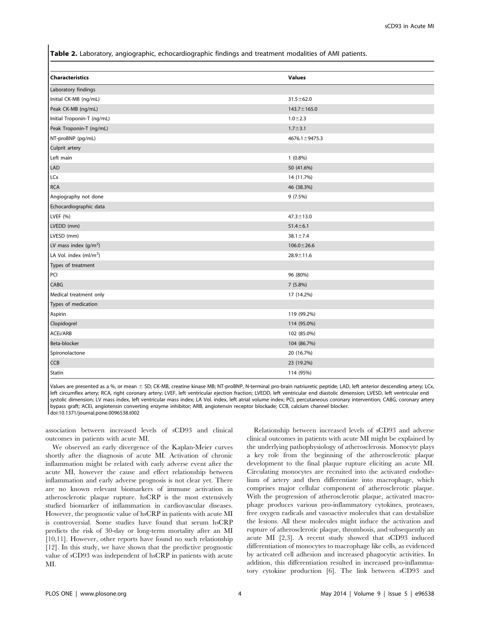Table 2. Laboratory, angiographic, echocardiographic findings and treatment modalities of AMI patients.

| <b>Values</b>       |
|---------------------|
|                     |
| $31.5 \pm 62.0$     |
| $143.7 \pm 165.0$   |
| $1.0 + 2.3$         |
| $1.7 + 3.1$         |
| $4676.1 \pm 9475.3$ |
|                     |
| $1(0.8\%)$          |
| 50 (41.6%)          |
| 14 (11.7%)          |
| 46 (38.3%)          |
| 9 (7.5%)            |
|                     |
| $47.3 \pm 13.0$     |
| $51.4 \pm 6.1$      |
| $38.1 \pm 7.4$      |
| $106.0 \pm 26.6$    |
| $28.9 \pm 11.6$     |
|                     |
| 96 (80%)            |
| 7 (5.8%)            |
| 17 (14.2%)          |
|                     |
| 119 (99.2%)         |
| 114 (95.0%)         |
| 102 (85.0%)         |
| 104 (86.7%)         |
| 20 (16.7%)          |
| 23 (19.2%)          |
| 114 (95%)           |
|                     |

Values are presented as a %, or mean ± SD; CK-MB, creatine kinase MB; NT-proBNP, N-terminal pro-brain natriuretic peptide; LAD, left anterior descending artery; LCx, left circumflex artery; RCA, right coronary artery; LVEF, left ventricular ejection fraction; LVEDD, left ventricular end diastolic dimension; LVESD, left ventricular end systolic dimension; LV mass index, left ventricular mass index; LA Vol. index, left atrial volume index; PCI, percutaneous coronary intervention; CABG, coronary artery bypass graft; ACEi, angiotensin converting enzyme inhibitor; ARB, angiotensin receptor blockade; CCB, calcium channel blocker. doi:10.1371/journal.pone.0096538.t002

association between increased levels of sCD93 and clinical outcomes in patients with acute MI.

We observed an early divergence of the Kaplan-Meier curves shortly after the diagnosis of acute MI. Activation of chronic inflammation might be related with early adverse event after the acute MI, however the cause and effect relationship between inflammation and early adverse prognosis is not clear yet. There are no known relevant biomarkers of immune activation in atherosclerotic plaque rupture. hsCRP is the most extensively studied biomarker of inflammation in cardiovascular diseases. However, the prognostic value of hsCRP in patients with acute MI is controversial. Some studies have found that serum hsCRP predicts the risk of 30-day or long-term mortality after an MI [10,11]. However, other reports have found no such relationship [12]. In this study, we have shown that the predictive prognostic value of sCD93 was independent of hsCRP in patients with acute MI.

Relationship between increased levels of sCD93 and adverse clinical outcomes in patients with acute MI might be explained by the underlying pathophysiology of atherosclerosis. Monocyte plays a key role from the beginning of the atherosclerotic plaque development to the final plaque rupture eliciting an acute MI. Circulating monocytes are recruited into the activated endothelium of artery and then differentiate into macrophage, which comprises major cellular component of atherosclerotic plaque. With the progression of atherosclerotic plaque, activated macrophage produces various pro-inflammatory cytokines, proteases, free oxygen radicals and vasoactive molecules that can destabilize the lesions. All these molecules might induce the activation and rupture of atherosclerotic plaque, thrombosis, and subsequently an acute MI [2,3]. A recent study showed that sCD93 induced differentiation of monocytes to macrophage like cells, as evidenced by activated cell adhesion and increased phagocytic activities. In addition, this differentiation resulted in increased pro-inflammatory cytokine production [6]. The link between sCD93 and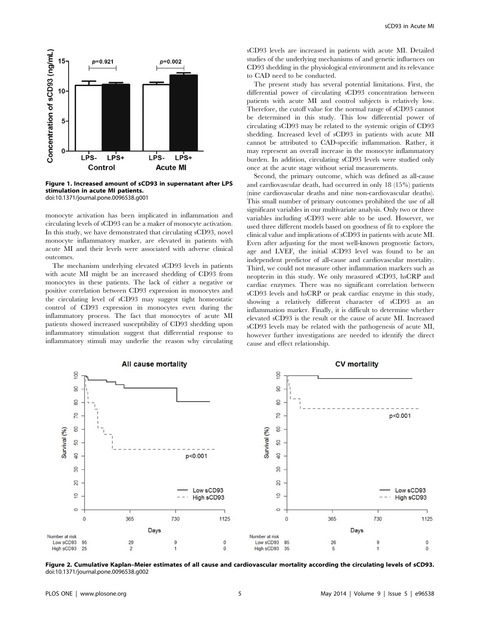

Figure 1. Increased amount of sCD93 in supernatant after LPS stimulation in acute MI patients. doi:10.1371/journal.pone.0096538.g001

monocyte activation has been implicated in inflammation and circulating levels of sCD93 can be a maker of monocyte activation. In this study, we have demonstrated that circulating sCD93, novel monocyte inflammatory marker, are elevated in patients with acute MI and their levels were associated with adverse clinical outcomes.

The mechanism underlying elevated sCD93 levels in patients with acute MI might be an increased shedding of CD93 from monocytes in these patients. The lack of either a negative or positive correlation between CD93 expression in monocytes and the circulating level of sCD93 may suggest tight homeostatic control of CD93 expression in monocytes even during the inflammatory process. The fact that monocytes of acute MI patients showed increased susceptibility of CD93 shedding upon inflammatory stimulation suggest that differential response to inflammatory stimuli may underlie the reason why circulating sCD93 levels are increased in patients with acute MI. Detailed studies of the underlying mechanisms of and genetic influences on CD93 shedding in the physiological environment and its relevance to CAD need to be conducted.

The present study has several potential limitations. First, the differential power of circulating sCD93 concentration between patients with acute MI and control subjects is relatively low. Therefore, the cutoff value for the normal range of sCD93 cannot be determined in this study. This low differential power of circulating sCD93 may be related to the systemic origin of CD93 shedding. Increased level of sCD93 in patients with acute MI cannot be attributed to CAD-specific inflammation. Rather, it may represent an overall increase in the monocyte inflammatory burden. In addition, circulating sCD93 levels were studied only once at the acute stage without serial measurements.

Second, the primary outcome, which was defined as all-cause and cardiovascular death, had occurred in only 18 (15%) patients (nine cardiovascular deaths and nine non-cardiovascular deaths). This small number of primary outcomes prohibited the use of all significant variables in our multivariate analysis. Only two or three variables including sCD93 were able to be used. However, we used three different models based on goodness of fit to explore the clinical value and implications of sCD93 in patients with acute MI. Even after adjusting for the most well-known prognostic factors, age and LVEF, the initial sCD93 level was found to be an independent predictor of all-cause and cardiovascular mortality. Third, we could not measure other inflammation markers such as neopterin in this study. We only measured sCD93, hsCRP and cardiac enzymes. There was no significant correlation between sCD93 levels and hsCRP or peak cardiac enzyme in this study, showing a relatively different character of sCD93 as an inflammation marker. Finally, it is difficult to determine whether elevated sCD93 is the result or the cause of acute MI. Increased sCD93 levels may be related with the pathogenesis of acute MI, however further investigations are needed to identify the direct cause and effect relationship.



Figure 2. Cumulative Kaplan–Meier estimates of all cause and cardiovascular mortality according the circulating levels of sCD93. doi:10.1371/journal.pone.0096538.g002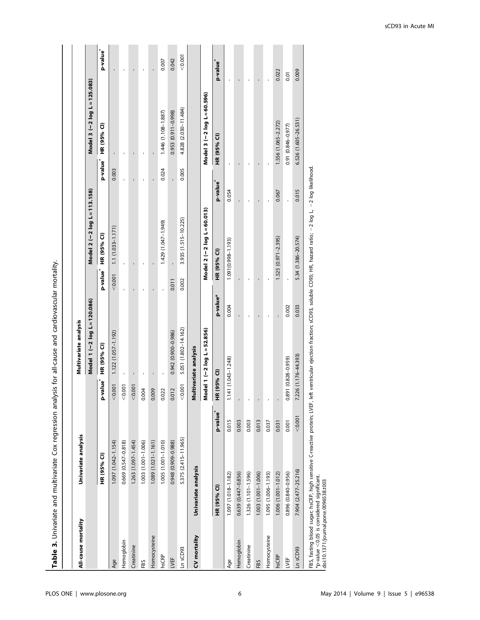Table 3. Univariate and multivariate Cox regression analysis for all-cause and cardiovascular mortality. Table 3. Univariate and multivariate Cox regression analysis for all-cause and cardiovascular mortality.

| All-cause mortality                                                                      | Univariate analysis                                                                                                                                                               |                      |                      | Multivariate analysis        |          |                                     |                            |                      |                              |                      |
|------------------------------------------------------------------------------------------|-----------------------------------------------------------------------------------------------------------------------------------------------------------------------------------|----------------------|----------------------|------------------------------|----------|-------------------------------------|----------------------------|----------------------|------------------------------|----------------------|
|                                                                                          |                                                                                                                                                                                   |                      |                      | Model 1 (-2 log L = 120.086) |          |                                     | Model 2 (-2 log L=113.158) |                      | Model 3 (-2 log L = 125.083) |                      |
|                                                                                          | HR (95% CI)                                                                                                                                                                       |                      | p-value <sup>*</sup> | HR (95% CI)                  |          | HR (95% CI)<br>p-value <sup>*</sup> |                            | p-value <sup>*</sup> | HR (95% CI)                  | p-value <sup>*</sup> |
| Age                                                                                      | 1.097 (1.042-1.154)                                                                                                                                                               |                      | < 0.001              | 1.122 (1.057-1.192)          |          | $1.1(1.033 - 1.171)$<br>< 0.001     |                            | 0.003                |                              |                      |
| Hemoglobin                                                                               | 0.669 (0.547-0.818)                                                                                                                                                               |                      | 0.001                |                              |          |                                     |                            |                      |                              |                      |
| Creatinine                                                                               | 1.263 (1.097-1.454)                                                                                                                                                               |                      | < 0.001              |                              |          |                                     |                            |                      |                              |                      |
| FBS                                                                                      | 1.003 (1.001-1.006)                                                                                                                                                               |                      | 0.004                | J.                           |          |                                     |                            | J.                   |                              |                      |
| Homocysteine                                                                             | 1.089 (1.021-1.161)                                                                                                                                                               |                      | 0.009                |                              |          |                                     |                            |                      |                              |                      |
| hsCRP                                                                                    | 1.005 (1.001-1.010)                                                                                                                                                               |                      | 0.022                |                              |          | 1.429 (1.047-1.949)                 |                            | 0.024                | 1.446 (1.108-1.887)          | 0.007                |
| LVEF                                                                                     | 0.948 (0.909-0.988)                                                                                                                                                               |                      | 0.012                | $0.942(0.900 - 0.986)$       | 0.011    |                                     |                            |                      | 0.953 (0.911-0.998)          | 0.042                |
| Ln sCD93                                                                                 | 5.375 (2.415-11.965)                                                                                                                                                              |                      | < 0.001              | 5.051 (1.802-14.162)         | 0.002    | 3.935 (1.515-10.225)                |                            | 0.005                | 4.828 (2.030-11.484)         | < 0.001              |
| CV mortality                                                                             | Univariate analysis                                                                                                                                                               |                      |                      | Multivariate analysis        |          |                                     |                            |                      |                              |                      |
|                                                                                          |                                                                                                                                                                                   |                      |                      | Model 1 (-2 log L = 52.856)  |          | Model 2 (-2 log L = 60.013)         |                            |                      | Model 3 (-2 log L=60.596)    |                      |
|                                                                                          | HR (95% CI)                                                                                                                                                                       | p-value <sup>*</sup> | $(95%$ CI)<br>£      |                              | p-value* | HR (95% CI)                         | p-value <sup>*</sup>       |                      | HR (95% CI)                  | p-value <sup>*</sup> |
| Age                                                                                      | 1.097 (1.018-1.182)                                                                                                                                                               | 0.015                | 1.141 (1.043-1.248)  |                              | 0.004    | 1.091(0.998-1.193)                  | 0.054                      |                      |                              |                      |
| Hemoglobin                                                                               | 0.639 (0.447-0.856)                                                                                                                                                               | 0.003                |                      |                              |          |                                     |                            |                      |                              |                      |
| Creatinine                                                                               | 1.326 (1.101-1.596)                                                                                                                                                               | 0.003                |                      |                              |          |                                     |                            |                      |                              |                      |
| FBS                                                                                      | 1.003 (1.001-1.006)                                                                                                                                                               | 0.013                |                      |                              |          | ı                                   | ı                          |                      |                              |                      |
| Homocysteine                                                                             | 1.095 (1.006-1.193)                                                                                                                                                               | 0.037                | ı                    |                              |          |                                     |                            |                      |                              |                      |
| hsCRP                                                                                    | $1.006(1.001 - 1.012)$                                                                                                                                                            | 0.031                |                      |                              |          | $1.525(0.971 - 2.395)$              | 0.067                      |                      | 1.556 (1.065-2.272)          | 0.022                |
| LVEF                                                                                     | 0.896 (0.840-0.956)                                                                                                                                                               | 0.001                | 0.891 (0.828-0.959)  |                              | 0.002    |                                     |                            |                      | $0.91(0.846 - 0.977)$        | 0.01                 |
| Ln sCD93                                                                                 | 7.904 (2.477-25.216)                                                                                                                                                              | < 0.001              | 7.226 (1.176-44.393) |                              | 0.033    | 5.34 (1.386-20.574)                 | 0.015                      |                      | 6.526 (1.605-26.531)         | 0.009                |
| $*_{p-value} < 0.05$ is considered significant.<br>doi:10.1371/journal.pone.0096538.t003 | FBS, fasting blood sugar, hsCRP, high sensitive C-reactive protein; LVEF, left ventricular ejection fraction; sCD93, soluble CD93; HR, hazard ratio; -2 log L, -2 log likelihood. |                      |                      |                              |          |                                     |                            |                      |                              |                      |

sCD93 in Acute MI